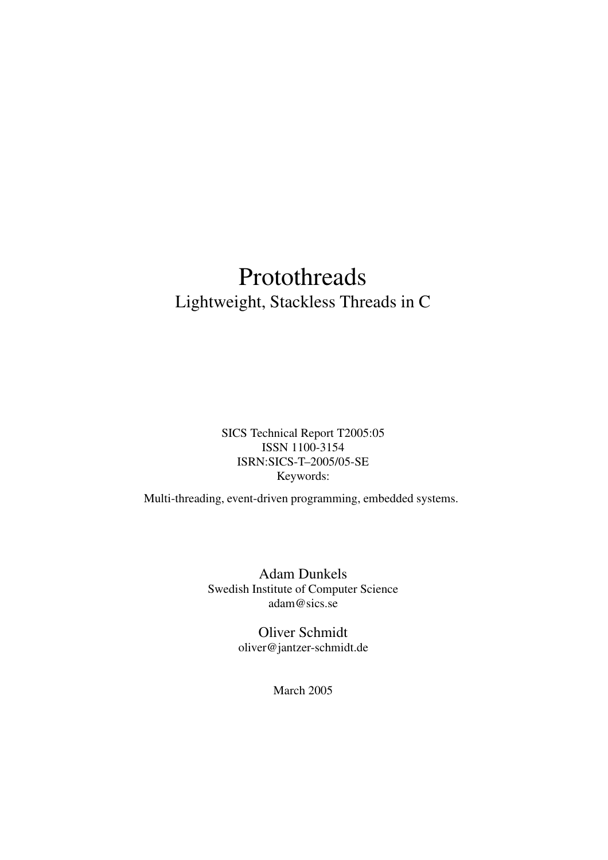## Protothreads Lightweight, Stackless Threads in C

SICS Technical Report T2005:05 ISSN 1100-3154 ISRN:SICS-T–2005/05-SE Keywords:

Multi-threading, event-driven programming, embedded systems.

Adam Dunkels Swedish Institute of Computer Science adam@sics.se

> Oliver Schmidt oliver@jantzer-schmidt.de

> > March 2005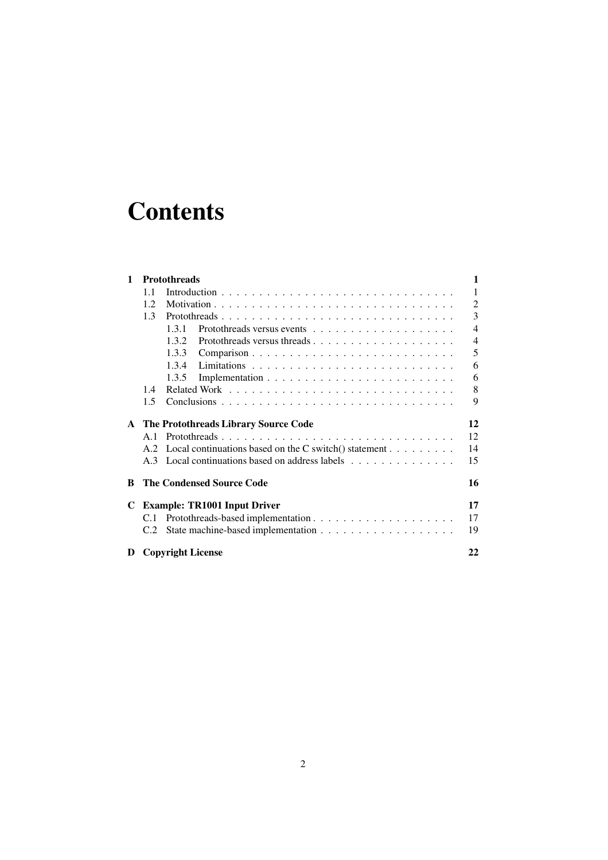# **Contents**

| <b>Protothreads</b><br>1 |                                     |                                                          |                |  |
|--------------------------|-------------------------------------|----------------------------------------------------------|----------------|--|
|                          | 1.1                                 |                                                          | $\mathbf{1}$   |  |
|                          | 1.2.                                |                                                          | $\overline{2}$ |  |
|                          | 1.3                                 | Protothreads                                             | 3              |  |
|                          |                                     | 1.3.1                                                    | $\overline{4}$ |  |
|                          |                                     | 1.3.2                                                    | $\overline{4}$ |  |
|                          |                                     | 1.3.3                                                    | 5              |  |
|                          |                                     | 1.3.4                                                    | 6              |  |
|                          |                                     | 1.3.5                                                    | 6              |  |
|                          | 1.4                                 |                                                          | 8              |  |
|                          | 1.5                                 |                                                          | 9              |  |
| $\mathbf{A}$             |                                     | The Protothreads Library Source Code                     | 12             |  |
|                          | A.1                                 | Protothreads                                             | 12             |  |
|                          | A.2                                 | Local continuations based on the C switch $()$ statement | 14             |  |
|                          |                                     | A.3 Local continuations based on address labels          | 15             |  |
| B                        |                                     | <b>The Condensed Source Code</b>                         | 16             |  |
| C                        | <b>Example: TR1001 Input Driver</b> |                                                          |                |  |
|                          | C.1                                 |                                                          | 17             |  |
|                          | C.2                                 |                                                          | 19             |  |
| D                        | <b>Copyright License</b><br>22      |                                                          |                |  |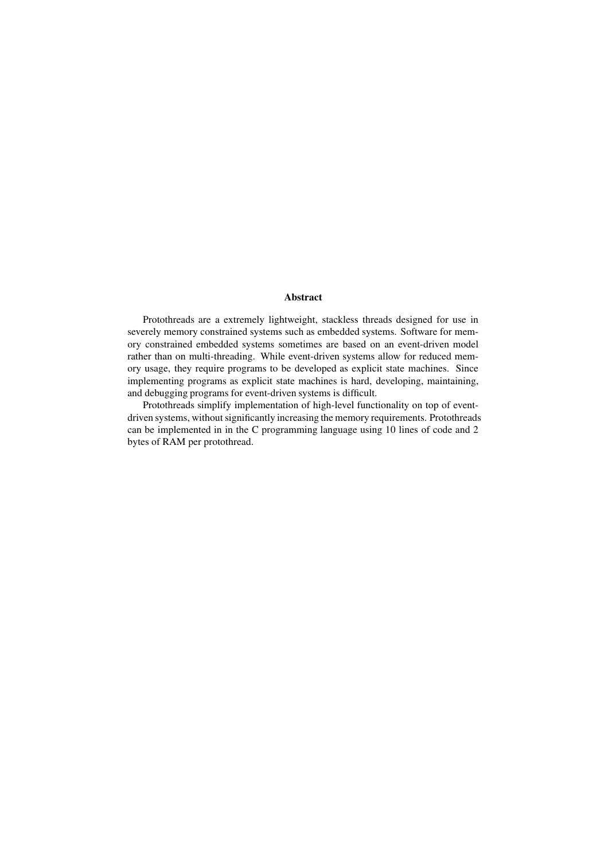#### **Abstract**

Protothreads are a extremely lightweight, stackless threads designed for use in severely memory constrained systems such as embedded systems. Software for memory constrained embedded systems sometimes are based on an event-driven model rather than on multi-threading. While event-driven systems allow for reduced memory usage, they require programs to be developed as explicit state machines. Since implementing programs as explicit state machines is hard, developing, maintaining, and debugging programs for event-driven systems is difficult.

Protothreads simplify implementation of high-level functionality on top of eventdriven systems, without significantly increasing the memory requirements. Protothreads can be implemented in in the C programming language using 10 lines of code and 2 bytes of RAM per protothread.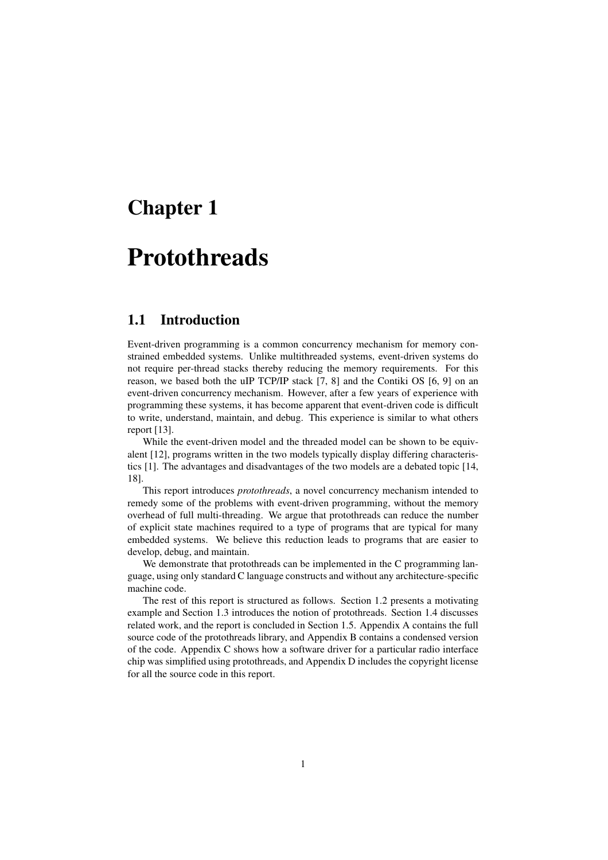## **Chapter 1**

## **Protothreads**

### **1.1 Introduction**

Event-driven programming is a common concurrency mechanism for memory constrained embedded systems. Unlike multithreaded systems, event-driven systems do not require per-thread stacks thereby reducing the memory requirements. For this reason, we based both the uIP TCP/IP stack [7, 8] and the Contiki OS [6, 9] on an event-driven concurrency mechanism. However, after a few years of experience with programming these systems, it has become apparent that event-driven code is difficult to write, understand, maintain, and debug. This experience is similar to what others report [13].

While the event-driven model and the threaded model can be shown to be equivalent [12], programs written in the two models typically display differing characteristics [1]. The advantages and disadvantages of the two models are a debated topic [14, 18].

This report introduces *protothreads*, a novel concurrency mechanism intended to remedy some of the problems with event-driven programming, without the memory overhead of full multi-threading. We argue that protothreads can reduce the number of explicit state machines required to a type of programs that are typical for many embedded systems. We believe this reduction leads to programs that are easier to develop, debug, and maintain.

We demonstrate that protothreads can be implemented in the C programming language, using only standard C language constructs and without any architecture-specific machine code.

The rest of this report is structured as follows. Section 1.2 presents a motivating example and Section 1.3 introduces the notion of protothreads. Section 1.4 discusses related work, and the report is concluded in Section 1.5. Appendix A contains the full source code of the protothreads library, and Appendix B contains a condensed version of the code. Appendix C shows how a software driver for a particular radio interface chip was simplified using protothreads, and Appendix D includes the copyright license for all the source code in this report.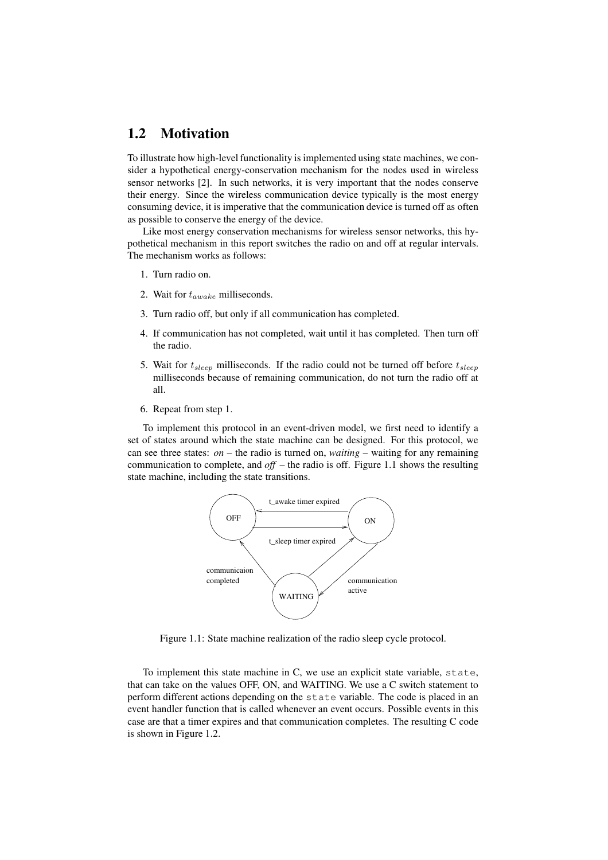#### **1.2 Motivation**

To illustrate how high-level functionality is implemented using state machines, we consider a hypothetical energy-conservation mechanism for the nodes used in wireless sensor networks [2]. In such networks, it is very important that the nodes conserve their energy. Since the wireless communication device typically is the most energy consuming device, it is imperative that the communication device is turned off as often as possible to conserve the energy of the device.

Like most energy conservation mechanisms for wireless sensor networks, this hypothetical mechanism in this report switches the radio on and off at regular intervals. The mechanism works as follows:

- 1. Turn radio on.
- 2. Wait for  $t_{awake}$  milliseconds.
- 3. Turn radio off, but only if all communication has completed.
- 4. If communication has not completed, wait until it has completed. Then turn off the radio.
- 5. Wait for  $t_{sleep}$  milliseconds. If the radio could not be turned off before  $t_{sleep}$ milliseconds because of remaining communication, do not turn the radio off at all.
- 6. Repeat from step 1.

To implement this protocol in an event-driven model, we first need to identify a set of states around which the state machine can be designed. For this protocol, we can see three states: *on* – the radio is turned on, *waiting* – waiting for any remaining communication to complete, and *off* – the radio is off. Figure 1.1 shows the resulting state machine, including the state transitions.



Figure 1.1: State machine realization of the radio sleep cycle protocol.

To implement this state machine in C, we use an explicit state variable, state, that can take on the values OFF, ON, and WAITING. We use a C switch statement to perform different actions depending on the state variable. The code is placed in an event handler function that is called whenever an event occurs. Possible events in this case are that a timer expires and that communication completes. The resulting C code is shown in Figure 1.2.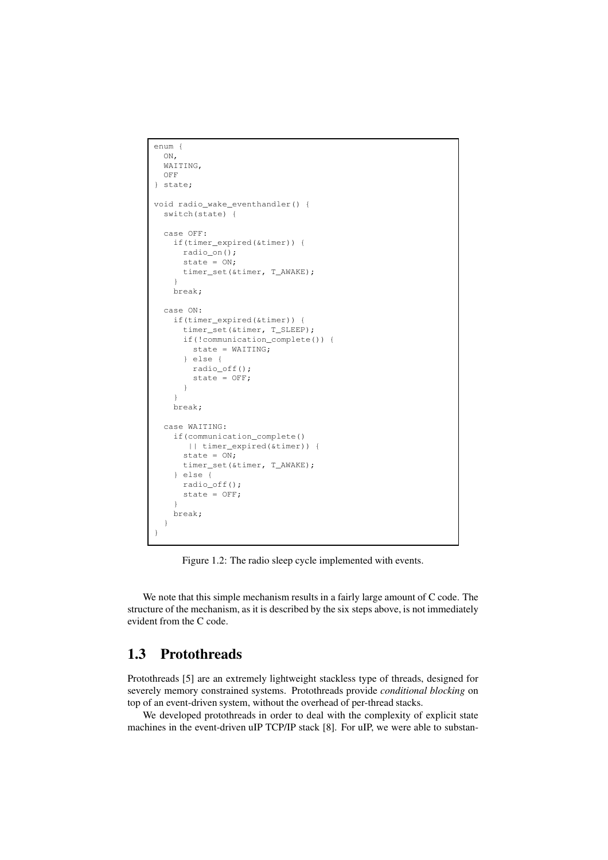```
enum {
  ON.
  WATTING.
  OFF
} state;
void radio wake eventhandler() {
  switch(state) {
  case OFF:
    if(timer_expired(&timer)) {
      radio_on();
      state = ON;
      timer_set(&timer, T_AWAKE);
    }
    break;
  case ON:
    if(timer_expired(&timer)) {
     timer_set(&timer, T_SLEEP);
      if(!communication_complete()) {
        state = WAITING;
      } else {
        radio_off();
        state = OFF;
      }
    \mathbf{I}break;
  case WAITING:
    if(communication_complete()
       || timer_expired(&timer)) {
      state = ON;
      timer_set(&timer, T_AWAKE);
    } else {
      radio_off();
      state = OFF;
    }
    break;
  }
}
```
Figure 1.2: The radio sleep cycle implemented with events.

We note that this simple mechanism results in a fairly large amount of C code. The structure of the mechanism, as it is described by the six steps above, is not immediately evident from the C code.

### **1.3 Protothreads**

Protothreads [5] are an extremely lightweight stackless type of threads, designed for severely memory constrained systems. Protothreads provide *conditional blocking* on top of an event-driven system, without the overhead of per-thread stacks.

We developed protothreads in order to deal with the complexity of explicit state machines in the event-driven uIP TCP/IP stack [8]. For uIP, we were able to substan-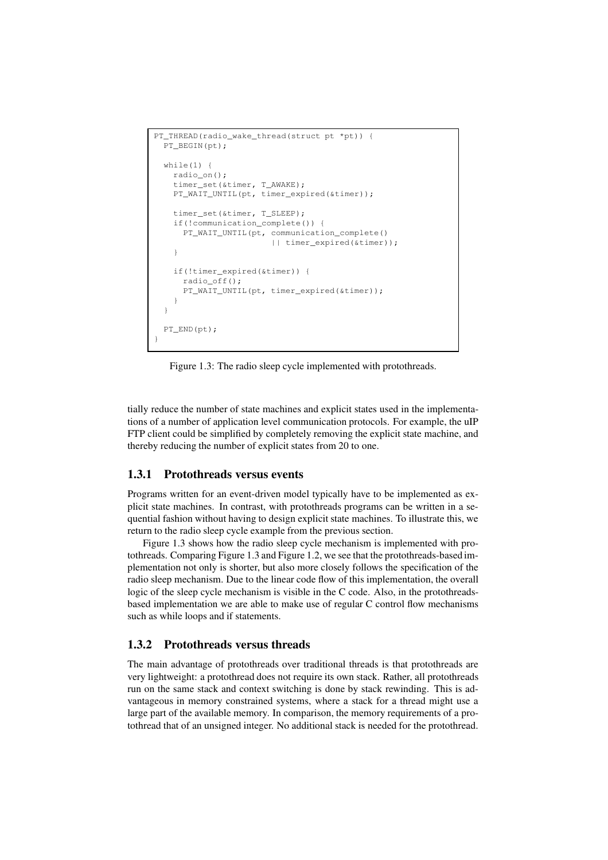```
PT_THREAD(radio_wake_thread(struct pt *pt)) {
 PT_BEGIN(pt);
 while(1) {
    radio_on();
    timer_set(&timer, T_AWAKE);
    PT_WAIT_UNTIL(pt, timer_expired(&timer));
    timer_set(&timer, T_SLEEP);
    if(!communication_complete()) {
      PT_WAIT_UNTIL(pt, communication_complete()
                        || timer_expired(&timer));
    }
    if(!timer_expired(&timer)) {
      radio_off();
      PT_WAIT_UNTIL(pt, timer_expired(&timer));
    }
  }
  PT_END(pt);
}
```
Figure 1.3: The radio sleep cycle implemented with protothreads.

tially reduce the number of state machines and explicit states used in the implementations of a number of application level communication protocols. For example, the uIP FTP client could be simplified by completely removing the explicit state machine, and thereby reducing the number of explicit states from 20 to one.

#### **1.3.1 Protothreads versus events**

Programs written for an event-driven model typically have to be implemented as explicit state machines. In contrast, with protothreads programs can be written in a sequential fashion without having to design explicit state machines. To illustrate this, we return to the radio sleep cycle example from the previous section.

Figure 1.3 shows how the radio sleep cycle mechanism is implemented with protothreads. Comparing Figure 1.3 and Figure 1.2, we see that the protothreads-based implementation not only is shorter, but also more closely follows the specification of the radio sleep mechanism. Due to the linear code flow of this implementation, the overall logic of the sleep cycle mechanism is visible in the C code. Also, in the protothreadsbased implementation we are able to make use of regular C control flow mechanisms such as while loops and if statements.

#### **1.3.2 Protothreads versus threads**

The main advantage of protothreads over traditional threads is that protothreads are very lightweight: a protothread does not require its own stack. Rather, all protothreads run on the same stack and context switching is done by stack rewinding. This is advantageous in memory constrained systems, where a stack for a thread might use a large part of the available memory. In comparison, the memory requirements of a protothread that of an unsigned integer. No additional stack is needed for the protothread.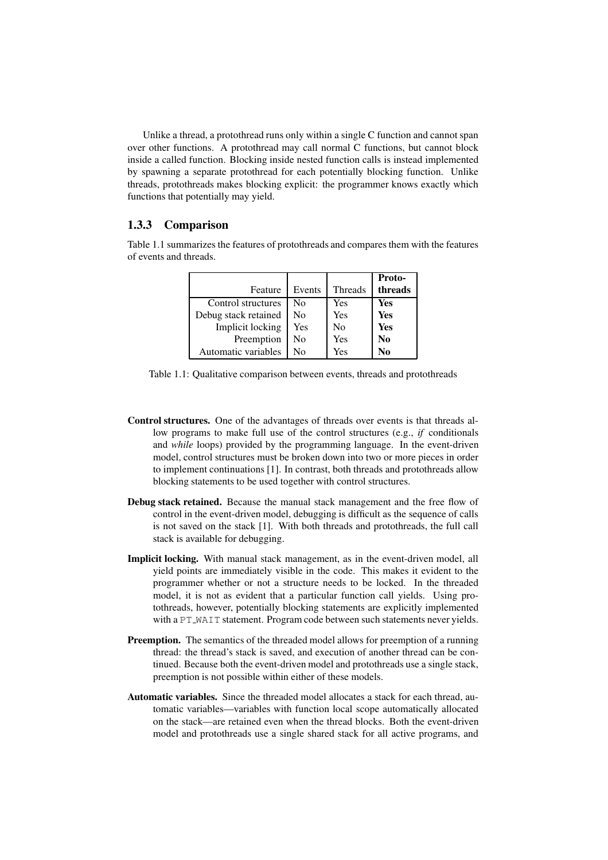Unlike a thread, a protothread runs only within a single C function and cannot span over other functions. A protothread may call normal C functions, but cannot block inside a called function. Blocking inside nested function calls is instead implemented by spawning a separate protothread for each potentially blocking function. Unlike threads, protothreads makes blocking explicit: the programmer knows exactly which functions that potentially may yield.

#### **1.3.3 Comparison**

Table 1.1 summarizes the features of protothreads and compares them with the features of events and threads.

|                      |        |                | <b>Proto-</b> |
|----------------------|--------|----------------|---------------|
| Feature              | Events | <b>Threads</b> | threads       |
| Control structures   | No     | Yes            | Yes           |
| Debug stack retained | No     | Yes            | Yes           |
| Implicit locking     | Yes    | N <sub>0</sub> | Yes           |
| Preemption           | No     | Yes            | No            |
| Automatic variables  | N٥     | Yes            | No            |

Table 1.1: Qualitative comparison between events, threads and protothreads

- **Control structures.** One of the advantages of threads over events is that threads allow programs to make full use of the control structures (e.g., *if* conditionals and *while* loops) provided by the programming language. In the event-driven model, control structures must be broken down into two or more pieces in order to implement continuations [1]. In contrast, both threads and protothreads allow blocking statements to be used together with control structures.
- **Debug stack retained.** Because the manual stack management and the free flow of control in the event-driven model, debugging is difficult as the sequence of calls is not saved on the stack [1]. With both threads and protothreads, the full call stack is available for debugging.
- **Implicit locking.** With manual stack management, as in the event-driven model, all yield points are immediately visible in the code. This makes it evident to the programmer whether or not a structure needs to be locked. In the threaded model, it is not as evident that a particular function call yields. Using protothreads, however, potentially blocking statements are explicitly implemented with a PT WAIT statement. Program code between such statements never yields.
- **Preemption.** The semantics of the threaded model allows for preemption of a running thread: the thread's stack is saved, and execution of another thread can be continued. Because both the event-driven model and protothreads use a single stack, preemption is not possible within either of these models.
- **Automatic variables.** Since the threaded model allocates a stack for each thread, automatic variables—variables with function local scope automatically allocated on the stack—are retained even when the thread blocks. Both the event-driven model and protothreads use a single shared stack for all active programs, and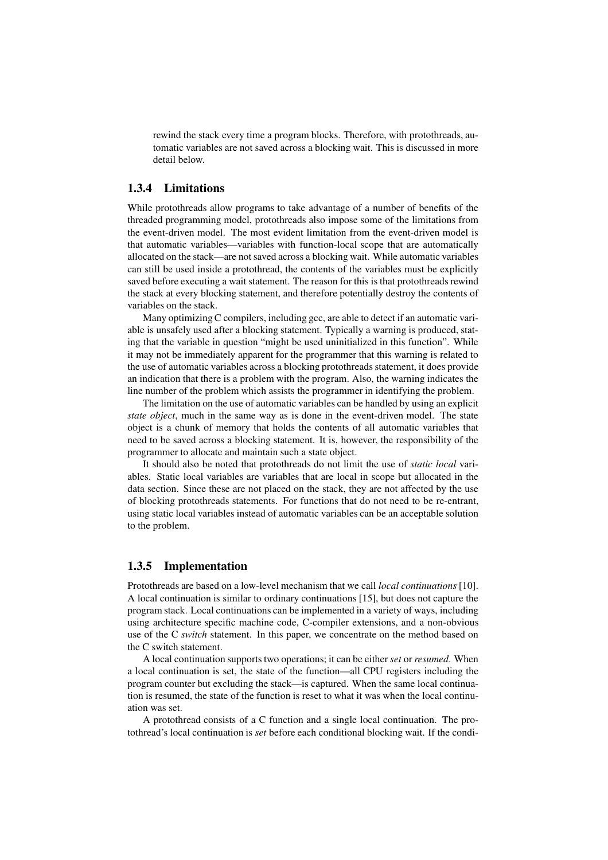rewind the stack every time a program blocks. Therefore, with protothreads, automatic variables are not saved across a blocking wait. This is discussed in more detail below.

#### **1.3.4 Limitations**

While protothreads allow programs to take advantage of a number of benefits of the threaded programming model, protothreads also impose some of the limitations from the event-driven model. The most evident limitation from the event-driven model is that automatic variables—variables with function-local scope that are automatically allocated on the stack—are notsaved across a blocking wait. While automatic variables can still be used inside a protothread, the contents of the variables must be explicitly saved before executing a wait statement. The reason for this is that protothreads rewind the stack at every blocking statement, and therefore potentially destroy the contents of variables on the stack.

Many optimizing C compilers, including gcc, are able to detect if an automatic variable is unsafely used after a blocking statement. Typically a warning is produced, stating that the variable in question "might be used uninitialized in this function". While it may not be immediately apparent for the programmer that this warning is related to the use of automatic variables across a blocking protothreads statement, it does provide an indication that there is a problem with the program. Also, the warning indicates the line number of the problem which assists the programmer in identifying the problem.

The limitation on the use of automatic variables can be handled by using an explicit *state object*, much in the same way as is done in the event-driven model. The state object is a chunk of memory that holds the contents of all automatic variables that need to be saved across a blocking statement. It is, however, the responsibility of the programmer to allocate and maintain such a state object.

It should also be noted that protothreads do not limit the use of *static local* variables. Static local variables are variables that are local in scope but allocated in the data section. Since these are not placed on the stack, they are not affected by the use of blocking protothreads statements. For functions that do not need to be re-entrant, using static local variables instead of automatic variables can be an acceptable solution to the problem.

#### **1.3.5 Implementation**

Protothreads are based on a low-level mechanism that we call *local continuations* [10]. A local continuation is similar to ordinary continuations [15], but does not capture the program stack. Local continuations can be implemented in a variety of ways, including using architecture specific machine code, C-compiler extensions, and a non-obvious use of the C *switch* statement. In this paper, we concentrate on the method based on the C switch statement.

A local continuation supports two operations; it can be either *set* or *resumed*. When a local continuation is set, the state of the function—all CPU registers including the program counter but excluding the stack—is captured. When the same local continuation is resumed, the state of the function is reset to what it was when the local continuation was set.

A protothread consists of a C function and a single local continuation. The protothread's local continuation is *set* before each conditional blocking wait. If the condi-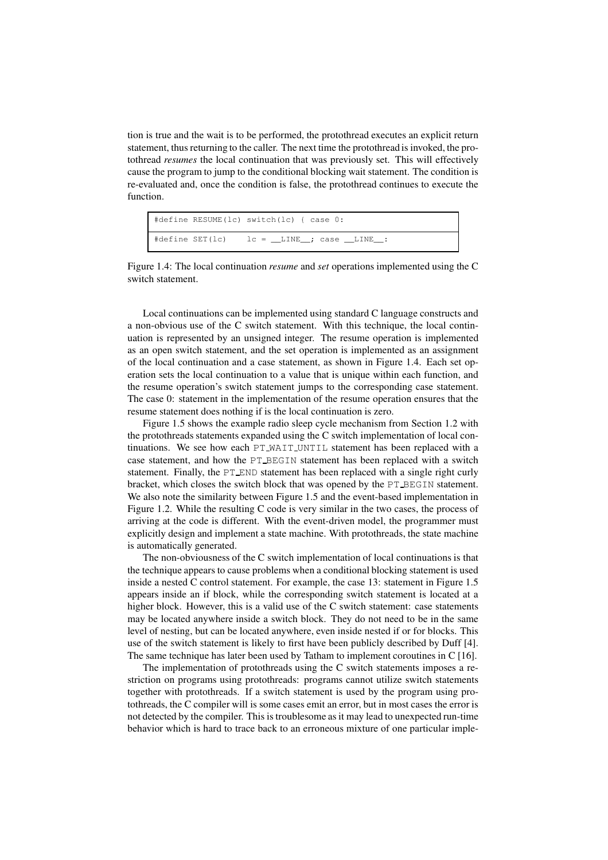tion is true and the wait is to be performed, the protothread executes an explicit return statement, thus returning to the caller. The next time the protothread is invoked, the protothread *resumes* the local continuation that was previously set. This will effectively cause the program to jump to the conditional blocking wait statement. The condition is re-evaluated and, once the condition is false, the protothread continues to execute the function.

| #define RESUME(lc) switch(lc) { case 0:                                |
|------------------------------------------------------------------------|
| $\# \text{define SET}(lc)$ $lc = \_$ LINE $\_$ ; case $\_$ LINE $\_$ : |

Figure 1.4: The local continuation *resume* and *set* operations implemented using the C switch statement.

Local continuations can be implemented using standard C language constructs and a non-obvious use of the C switch statement. With this technique, the local continuation is represented by an unsigned integer. The resume operation is implemented as an open switch statement, and the set operation is implemented as an assignment of the local continuation and a case statement, as shown in Figure 1.4. Each set operation sets the local continuation to a value that is unique within each function, and the resume operation's switch statement jumps to the corresponding case statement. The case 0: statement in the implementation of the resume operation ensures that the resume statement does nothing if is the local continuation is zero.

Figure 1.5 shows the example radio sleep cycle mechanism from Section 1.2 with the protothreads statements expanded using the C switch implementation of local continuations. We see how each PT WAIT UNTIL statement has been replaced with a case statement, and how the PT BEGIN statement has been replaced with a switch statement. Finally, the PT END statement has been replaced with a single right curly bracket, which closes the switch block that was opened by the PT BEGIN statement. We also note the similarity between Figure 1.5 and the event-based implementation in Figure 1.2. While the resulting C code is very similar in the two cases, the process of arriving at the code is different. With the event-driven model, the programmer must explicitly design and implement a state machine. With protothreads, the state machine is automatically generated.

The non-obviousness of the C switch implementation of local continuations is that the technique appears to cause problems when a conditional blocking statement is used inside a nested C control statement. For example, the case 13: statement in Figure 1.5 appears inside an if block, while the corresponding switch statement is located at a higher block. However, this is a valid use of the C switch statement: case statements may be located anywhere inside a switch block. They do not need to be in the same level of nesting, but can be located anywhere, even inside nested if or for blocks. This use of the switch statement is likely to first have been publicly described by Duff [4]. The same technique has later been used by Tatham to implement coroutines in C [16].

The implementation of protothreads using the C switch statements imposes a restriction on programs using protothreads: programs cannot utilize switch statements together with protothreads. If a switch statement is used by the program using protothreads, the C compiler will is some cases emit an error, but in most cases the error is not detected by the compiler. This is troublesome as it may lead to unexpected run-time behavior which is hard to trace back to an erroneous mixture of one particular imple-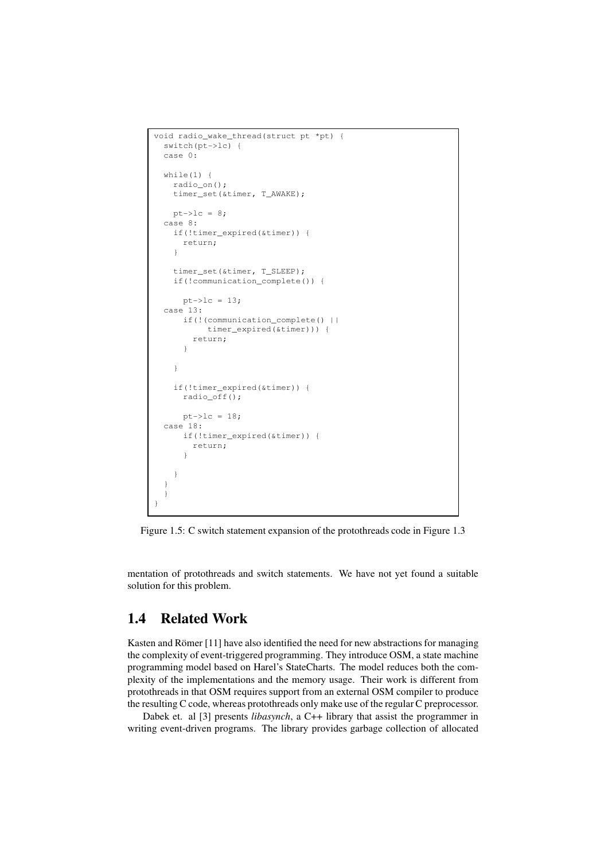```
void radio_wake_thread(struct pt *pt) {
 switch(pt->lc) {
 case 0:
 while(1) {
   radio_on();
   timer_set(&timer, T_AWAKE);
   pt->lc = 8;case 8:
   if(!timer_expired(&timer)) {
     return;
    }
   timer_set(&timer, T_SLEEP);
   if(!communication_complete()) {
     pt->lc = 13;case 13:
     if(!(communication_complete() ||
          timer_expired(&timer))) {
        return;
      }
    }
   if(!timer_expired(&timer)) {
     radio_off();
     pt->lc = 18;case 18:
     if(!timer_expired(&timer)) {
       return;
      }
    }
  }
  }
}
```
Figure 1.5: C switch statement expansion of the protothreads code in Figure 1.3

mentation of protothreads and switch statements. We have not yet found a suitable solution for this problem.

### **1.4 Related Work**

Kasten and Römer  $[11]$  have also identified the need for new abstractions for managing the complexity of event-triggered programming. They introduce OSM, a state machine programming model based on Harel's StateCharts. The model reduces both the complexity of the implementations and the memory usage. Their work is different from protothreads in that OSM requires support from an external OSM compiler to produce the resulting C code, whereas protothreads only make use of the regular C preprocessor.

Dabek et. al [3] presents *libasynch*, a C++ library that assist the programmer in writing event-driven programs. The library provides garbage collection of allocated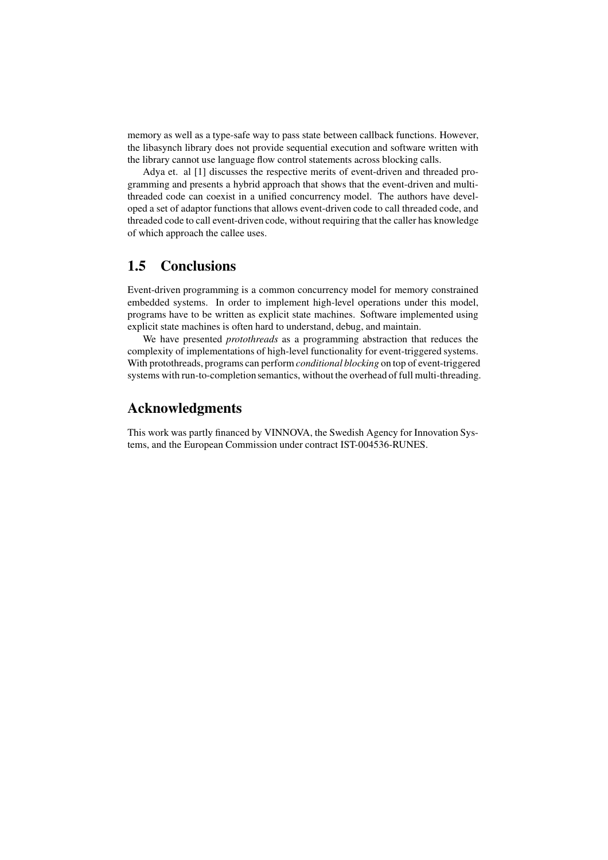memory as well as a type-safe way to pass state between callback functions. However, the libasynch library does not provide sequential execution and software written with the library cannot use language flow control statements across blocking calls.

Adya et. al [1] discusses the respective merits of event-driven and threaded programming and presents a hybrid approach that shows that the event-driven and multithreaded code can coexist in a unified concurrency model. The authors have developed a set of adaptor functions that allows event-driven code to call threaded code, and threaded code to call event-driven code, without requiring that the caller has knowledge of which approach the callee uses.

### **1.5 Conclusions**

Event-driven programming is a common concurrency model for memory constrained embedded systems. In order to implement high-level operations under this model, programs have to be written as explicit state machines. Software implemented using explicit state machines is often hard to understand, debug, and maintain.

We have presented *protothreads* as a programming abstraction that reduces the complexity of implementations of high-level functionality for event-triggered systems. With protothreads, programs can perform *conditional blocking* on top of event-triggered systems with run-to-completion semantics, without the overhead of full multi-threading.

#### **Acknowledgments**

This work was partly financed by VINNOVA, the Swedish Agency for Innovation Systems, and the European Commission under contract IST-004536-RUNES.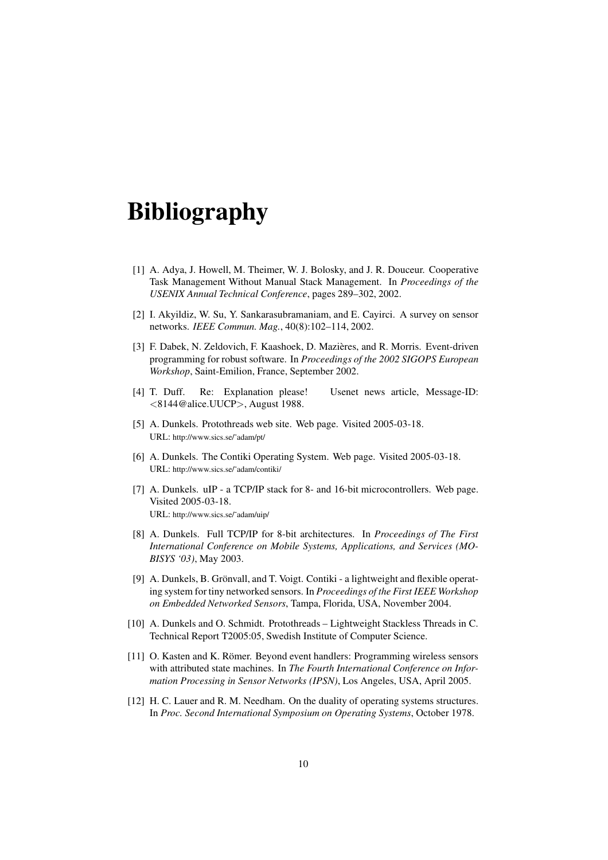# **Bibliography**

- [1] A. Adya, J. Howell, M. Theimer, W. J. Bolosky, and J. R. Douceur. Cooperative Task Management Without Manual Stack Management. In *Proceedings of the USENIX Annual Technical Conference*, pages 289–302, 2002.
- [2] I. Akyildiz, W. Su, Y. Sankarasubramaniam, and E. Cayirci. A survey on sensor networks. *IEEE Commun. Mag.*, 40(8):102–114, 2002.
- [3] F. Dabek, N. Zeldovich, F. Kaashoek, D. Mazieres, ` and R. Morris. Event-driven programming for robust software. In *Proceedings of the 2002 SIGOPS European Workshop*, Saint-Emilion, France, September 2002.
- [4] T. Duff. Re: Explanation please! Usenet news article, Message-ID: <8144@alice.UUCP>, August 1988.
- [5] A. Dunkels. Protothreads web site. Web page. Visited 2005-03-18. URL: http://www.sics.se/˜adam/pt/
- [6] A. Dunkels. The Contiki Operating System. Web page. Visited 2005-03-18. URL: http://www.sics.se/˜adam/contiki/
- [7] A. Dunkels. uIP a TCP/IP stack for 8- and 16-bit microcontrollers. Web page. Visited 2005-03-18. URL: http://www.sics.se/˜adam/uip/
- [8] A. Dunkels. Full TCP/IP for 8-bit architectures. In *Proceedings of The First International Conference on Mobile Systems, Applications, and Services (MO-BISYS '03)*, May 2003.
- [9] A. Dunkels, B. Grönvall, and T. Voigt. Contiki a lightweight and flexible operating system for tiny networked sensors. In *Proceedings of the First IEEE Workshop on Embedded Networked Sensors*, Tampa, Florida, USA, November 2004.
- [10] A. Dunkels and O. Schmidt. Protothreads Lightweight Stackless Threads in C. Technical Report T2005:05, Swedish Institute of Computer Science.
- [11] O. Kasten and K. Römer. Beyond event handlers: Programming wireless sensors with attributed state machines. In *The Fourth International Conference on Information Processing in Sensor Networks (IPSN)*, Los Angeles, USA, April 2005.
- [12] H. C. Lauer and R. M. Needham. On the duality of operating systems structures. In *Proc. Second International Symposium on Operating Systems*, October 1978.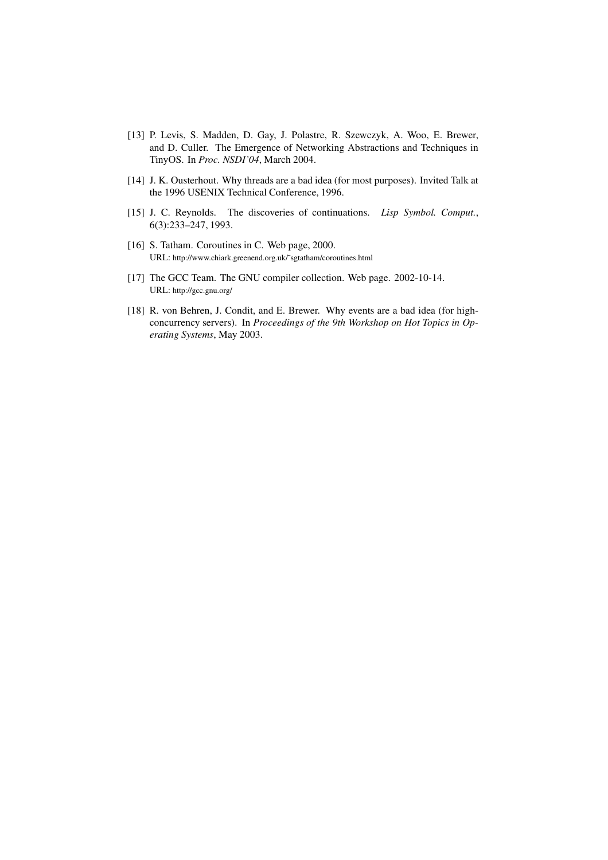- [13] P. Levis, S. Madden, D. Gay, J. Polastre, R. Szewczyk, A. Woo, E. Brewer, and D. Culler. The Emergence of Networking Abstractions and Techniques in TinyOS. In *Proc. NSDI'04*, March 2004.
- [14] J. K. Ousterhout. Why threads are a bad idea (for most purposes). Invited Talk at the 1996 USENIX Technical Conference, 1996.
- [15] J. C. Reynolds. The discoveries of continuations. *Lisp Symbol. Comput.*, 6(3):233–247, 1993.
- [16] S. Tatham. Coroutines in C. Web page, 2000. URL: http://www.chiark.greenend.org.uk/˜sgtatham/coroutines.html
- [17] The GCC Team. The GNU compiler collection. Web page. 2002-10-14. URL: http://gcc.gnu.org/
- [18] R. von Behren, J. Condit, and E. Brewer. Why events are a bad idea (for highconcurrency servers). In *Proceedings of the 9th Workshop on Hot Topics in Operating Systems*, May 2003.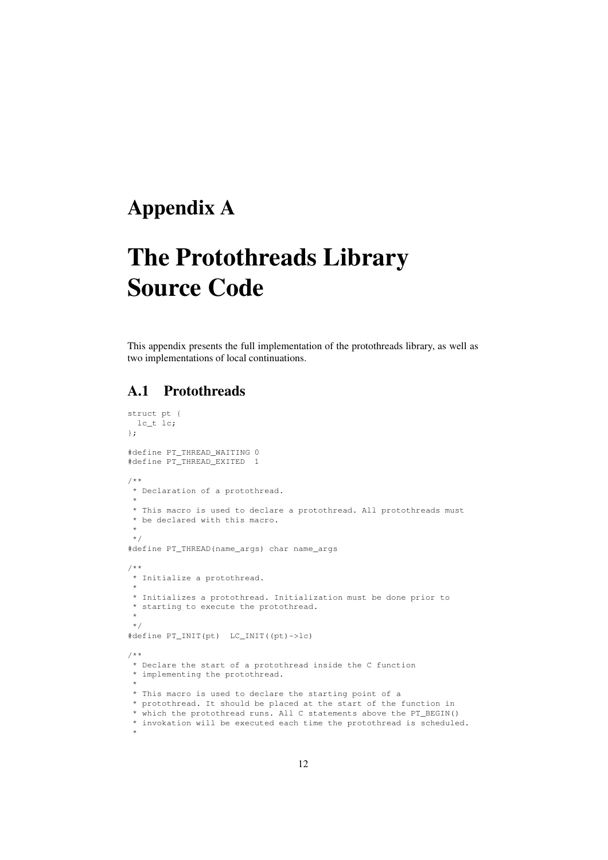## **Appendix A**

# **The Protothreads Library Source Code**

This appendix presents the full implementation of the protothreads library, as well as two implementations of local continuations.

### **A.1 Protothreads**

```
struct pt {
 lc_t lc;
};
#define PT_THREAD_WAITING 0
#define PT_THREAD_EXITED 1
/**
* Declaration of a protothread.
 *
 * This macro is used to declare a protothread. All protothreads must
* be declared with this macro.
*
*/
#define PT_THREAD(name_args) char name_args
/**
* Initialize a protothread.
 *
 * Initializes a protothread. Initialization must be done prior to
* starting to execute the protothread.
 *
 */
#define PT_INIT(pt) LC_INIT((pt)->lc)
/**
* Declare the start of a protothread inside the C function
* implementing the protothread.
 *
* This macro is used to declare the starting point of a
* protothread. It should be placed at the start of the function in
* which the protothread runs. All C statements above the PT_BEGIN()
* invokation will be executed each time the protothread is scheduled.
 *
```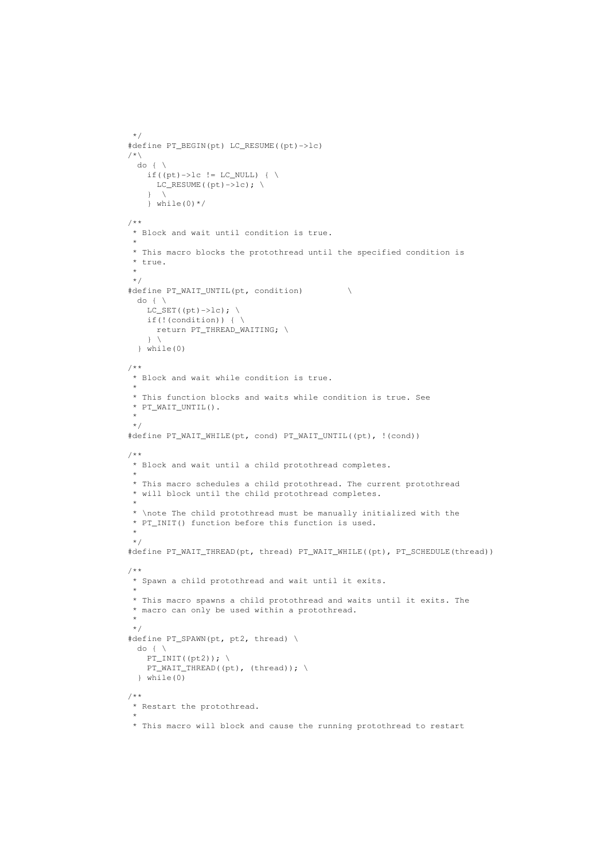```
*/
#define PT_BEGIN(pt) LC_RESUME((pt)->lc)
/*\
 do f \setminusif((pt)->lc != LC_NULL) { \
     LC\_RESUME((pt)->lc);\} \
    } while(0) *//**
 * Block and wait until condition is true.
 *
* This macro blocks the protothread until the specified condition is
* true.
 *
*/
#define PT_WAIT_UNTIL(pt, condition) \
 do { \setminusLC SET((pt)->lc): \setminusif(!(condition)) { \setminus }return PT_THREAD_WAITING; \
   \rightarrow \lambda} while(0)
/**
* Block and wait while condition is true.
 *
 * This function blocks and waits while condition is true. See
* PT_WAIT_UNTIL().
 *
*/
#define PT_WAIT_WHILE(pt, cond) PT_WAIT_UNTIL((pt), !(cond))
/**
* Block and wait until a child protothread completes.
 *
* This macro schedules a child protothread. The current protothread
* will block until the child protothread completes.
 *
* \note The child protothread must be manually initialized with the
* PT_INIT() function before this function is used.
 *
 */
#define PT_WAIT_THREAD(pt, thread) PT_WAIT_WHILE((pt), PT_SCHEDULE(thread))
/**
* Spawn a child protothread and wait until it exits.
 *
* This macro spawns a child protothread and waits until it exits. The
* macro can only be used within a protothread.
 *
*/
#define PT_SPAWN(pt, pt2, thread) \
 do \left\{ \begin{array}{c} \lambda \end{array} \right\}PT_INT( (pt2));PT_WAIT_THREAD((pt), (thread)); \
  } while(0)
/**
* Restart the protothread.
 *
 * This macro will block and cause the running protothread to restart
```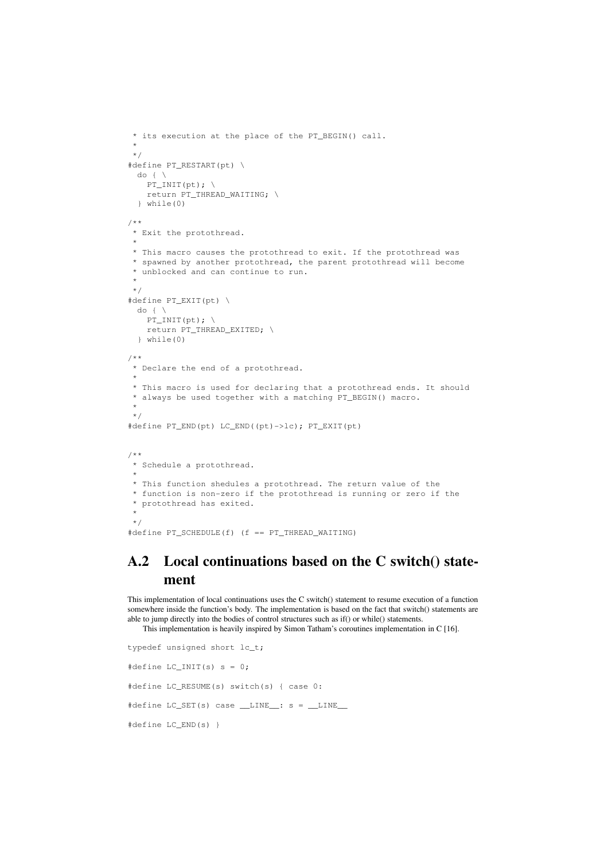```
* its execution at the place of the PT_BEGIN() call.
 *
 */
#define PT_RESTART(pt) \
 do { \setminusPT\_INIT(pt); \ \ \ \ \ \return PT_THREAD_WAITING; \
 } while(0)
/**
* Exit the protothread.
 *
* This macro causes the protothread to exit. If the protothread was
* spawned by another protothread, the parent protothread will become
* unblocked and can continue to run.
 *
*/
#define PT_EXIT(pt) \
 do f \setminusPT\_INIT(pt); \ \ \ \ \ \return PT_THREAD_EXITED; \
  } while(0)
/**
* Declare the end of a protothread.
 *
 * This macro is used for declaring that a protothread ends. It should
* always be used together with a matching PT_BEGIN() macro.
 *
*/
#define PT_END(pt) LC_END((pt)->lc); PT_EXIT(pt)
/ \star \star* Schedule a protothread.
 *
* This function shedules a protothread. The return value of the
* function is non-zero if the protothread is running or zero if the
 * protothread has exited.
 *
*/
#define PT_SCHEDULE(f) (f == PT_THREAD_WAITING)
```
### **A.2 Local continuations based on the C switch() statement**

This implementation of local continuations uses the C switch() statement to resume execution of a function somewhere inside the function's body. The implementation is based on the fact that switch() statements are able to jump directly into the bodies of control structures such as if() or while() statements.

This implementation is heavily inspired by Simon Tatham's coroutines implementation in C [16].

```
typedef unsigned short lc_t;
#define LC_INIT(s) s = 0;
#define LC_RESUME(s) switch(s) { case 0:
#define LC_SET(s) case LINE: s = LINE#define LC_END(s) }
```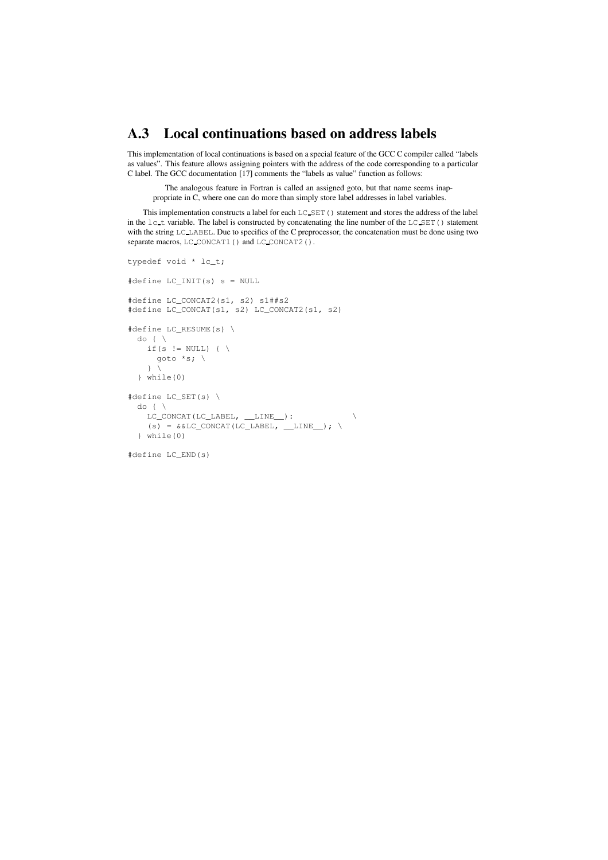### **A.3 Local continuations based on address labels**

This implementation of local continuations is based on a special feature of the GCC C compiler called "labels as values". This feature allows assigning pointers with the address of the code corresponding to a particular C label. The GCC documentation [17] comments the "labels as value" function as follows:

The analogous feature in Fortran is called an assigned goto, but that name seems inappropriate in C, where one can do more than simply store label addresses in label variables.

This implementation constructs a label for each LC\_SET() statement and stores the address of the label in the lc\_t variable. The label is constructed by concatenating the line number of the LC\_SET() statement with the string LC\_LABEL. Due to specifics of the C preprocessor, the concatenation must be done using two separate macros, LC\_CONCAT1() and LC\_CONCAT2().

```
typedef void * lc_t;
#define LC_INIT(s) s = NULL
#define LC_CONCAT2(s1, s2) s1##s2
#define LC_CONCAT(s1, s2) LC_CONCAT2(s1, s2)
#define LC_RESUME(s) \
 do \left\{ \right. \right\}if(s != NULL) { \
     goto *s; \
    \rightarrow} while(0)
#define LC_SET(s) \
  do { \ \ }LC\_CONCAT(LC\_LABEL, \_\_LINE\_):(s) = &&LC_CONCAT(LC_LABEL, __LINE__); \
  } while(0)
```
#define LC\_END(s)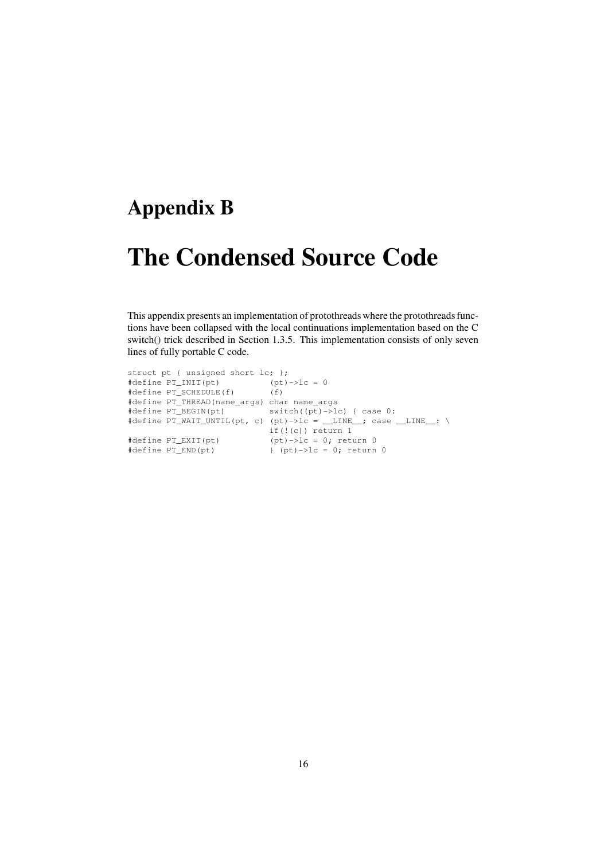## **Appendix B**

# **The Condensed Source Code**

This appendix presents an implementation of protothreads where the protothreads functions have been collapsed with the local continuations implementation based on the C switch() trick described in Section 1.3.5. This implementation consists of only seven lines of fully portable C code.

```
struct pt { unsigned short lc; };
#define PT_INIT(pt) (pt)->lc = 0
#define PT_SCHEDULE(f) (f)
#define PT_THREAD(name_args) char name_args
#define PT_BEGIN(pt) switch((pt)->lc) { case 0:
#define PT_WAIT_UNTIL(pt, c) (pt)->lc = __LINE_; case __LINE_: \
                          if(!(c)) return 1
#define PT_EXIT(pt) (pt)->lc = 0; return 0
#define PT_END(pt) } (pt)->lc = 0; return 0
```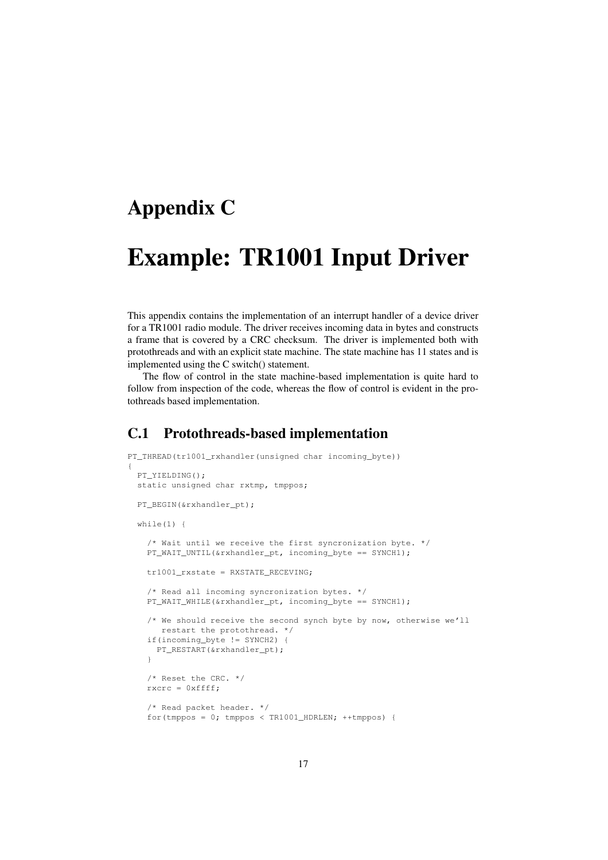## **Appendix C**

{

# **Example: TR1001 Input Driver**

This appendix contains the implementation of an interrupt handler of a device driver for a TR1001 radio module. The driver receives incoming data in bytes and constructs a frame that is covered by a CRC checksum. The driver is implemented both with protothreads and with an explicit state machine. The state machine has 11 states and is implemented using the C switch() statement.

The flow of control in the state machine-based implementation is quite hard to follow from inspection of the code, whereas the flow of control is evident in the protothreads based implementation.

### **C.1 Protothreads-based implementation**

```
PT_THREAD(tr1001_rxhandler(unsigned char incoming byte))
 PT_YIELDING();
 static unsigned char rxtmp, tmppos;
 PT_BEGIN(&rxhandler_pt);
 while(1) {
    /* Wait until we receive the first syncronization byte. */
   PT_WAIT_UNTIL(&rxhandler_pt, incoming_byte == SYNCH1);
   tr1001_rxstate = RXSTATE_RECEVING;
    /* Read all incoming syncronization bytes. */
   PT_WAIT_WHILE(&rxhandler_pt, incoming_byte == SYNCH1);
   /* We should receive the second synch byte by now, otherwise we'll
      restart the protothread. */
   if(incoming_byte != SYNCH2) {
     PT_RESTART(&rxhandler_pt);
    }
   /* Reset the CRC. */
   rxcrc = 0xffff;
    /* Read packet header. */
   for(tmppos = 0; tmppos < TR1001_HDRLEN; ++tmppos) {
```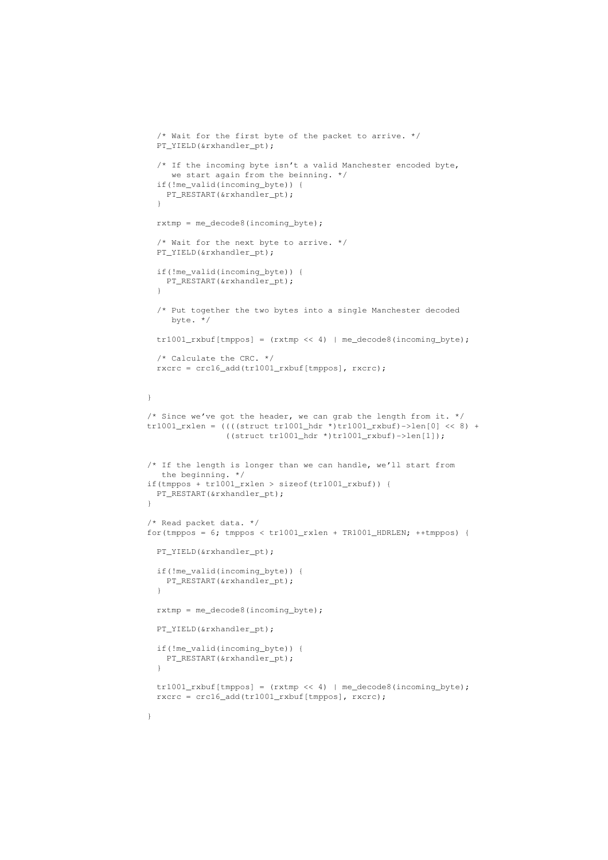```
/* Wait for the first byte of the packet to arrive. */
  PT_YIELD(&rxhandler_pt);
  /* If the incoming byte isn't a valid Manchester encoded byte,
    we start again from the beinning. */
  if(!me_valid(incoming_byte)) {
   PT_RESTART(&rxhandler_pt);
  \lambdarxtmp = me_decode8(incoming_byte);
  /* Wait for the next byte to arrive. */
  PT_YIELD(&rxhandler_pt);
  if(!me_valid(incoming_byte)) {
   PT_RESTART(&rxhandler_pt);
  }
  /* Put together the two bytes into a single Manchester decoded
     byte. */
  tr1001_rxbuf[tmppos] = (rxtmp \ll 4) | me_decode8(incoming_byte);
  /* Calculate the CRC. */
  rxcrc = crc16_add(tr1001_rxbuf[tmppos], rxcrc);
}
/* Since we've got the header, we can grab the length from it. */tr1001_rxlen = ((((struct tr1001_hdr *)tr1001_rxbuf)->len[0] << 8) +
                ((struct tr1001_hat * )tr1001_rxbuf)->len[1]);
/* If the length is longer than we can handle, we'll start from
  the beginning. */
if(tmppos + tr1001_rxlen > sizeof(tr1001_rxbuf)) {
 PT_RESTART(&rxhandler_pt);
}
/* Read packet data. */
for(tmppos = 6; tmppos < tr1001_rxlen + TR1001_HDRLEN; ++tmppos) {
 PT_YIELD(&rxhandler_pt);
  if(!me_valid(incoming_byte)) {
   PT_RESTART(&rxhandler_pt);
  }
 rxtmp = me_decode8(incoming_byte);
 PT_YIELD(&rxhandler_pt);
 if(!me_valid(incoming_byte)) {
   PT_RESTART(&rxhandler_pt);
  }
  tr1001_rxbuf[tmppos] = (rxtmp << 4) | me_decode8(incoming_byte);
  rxcrc = crc16_add(tr1001_rxbuf[tmppos], rxcrc);
```
}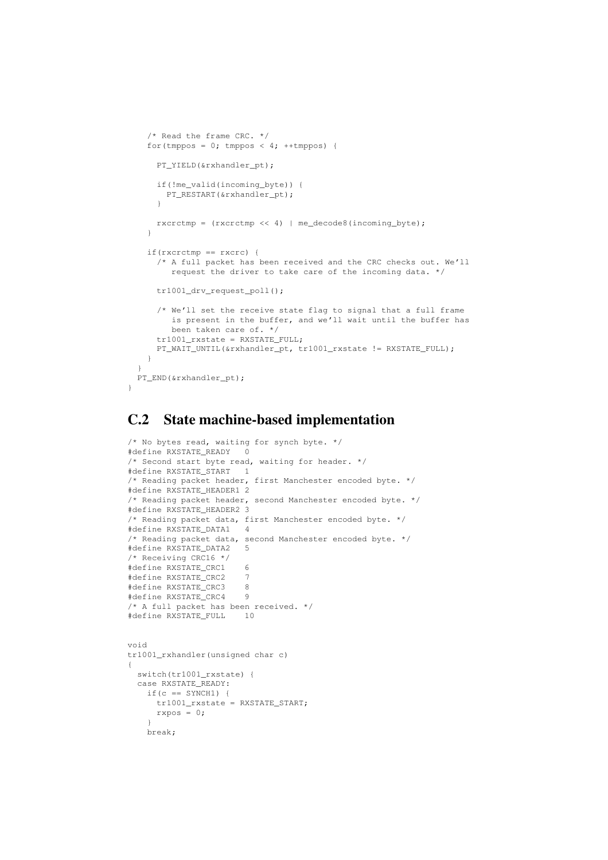```
/* Read the frame CRC. */
  for(tmppos = 0; tmppos < 4; ++tmppos) {
    PT_YIELD(&rxhandler_pt);
    if(!me_valid(incoming_byte)) {
     PT_RESTART(&rxhandler_pt);
    \lambdarxcrctmp = (rxcrctmp << 4) | me_decode8(incoming_byte);
  \overline{1}if(rxcrctmp == rxcrc) {
   /* A full packet has been received and the CRC checks out. We'll
      request the driver to take care of the incoming data. */
    tr1001_drv_request_poll();
    /* We'll set the receive state flag to signal that a full frame
       is present in the buffer, and we'll wait until the buffer has
       been taken care of. */
    tr1001_rxstate = RXSTATE_FULL;
    PT_WAIT_UNTIL(&rxhandler_pt, tr1001_rxstate != RXSTATE_FULL);
  }
}
PT_END(&rxhandler_pt);
```
### **C.2 State machine-based implementation**

}

```
/* No bytes read, waiting for synch byte. */#define RXSTATE_READY 0
/* Second start byte read, waiting for header. */
#define RXSTATE_START 1
/* Reading packet header, first Manchester encoded byte. */
#define RXSTATE_HEADER1 2
/* Reading packet header, second Manchester encoded byte. */
#define RXSTATE_HEADER2 3
/* Reading packet data, first Manchester encoded byte. */
#define RXSTATE_DATA1 4
/* Reading packet data, second Manchester encoded byte. */
#define RXSTATE_DATA2 5
/* Receiving CRC16 */
#define RXSTATE_CRC1 6<br>#define RXSTATE CRC2 7
#define RXSTATE_CRC2 7
#define RXSTATE_CRC3 8<br>#define RXSTATE CRC4 9
#define RXSTATE_CRC4 9
/* A full packet has been received. */
#define RXSTATE_FULL 10
void
tr1001_rxhandler(unsigned char c)
{
  switch(tr1001_rxstate) {
  case RXSTATE_READY:
    if(c == SYNCH1) {
     tr1001_rxstate = RXSTATE_START;
     r\times pos = 0;}
    break;
```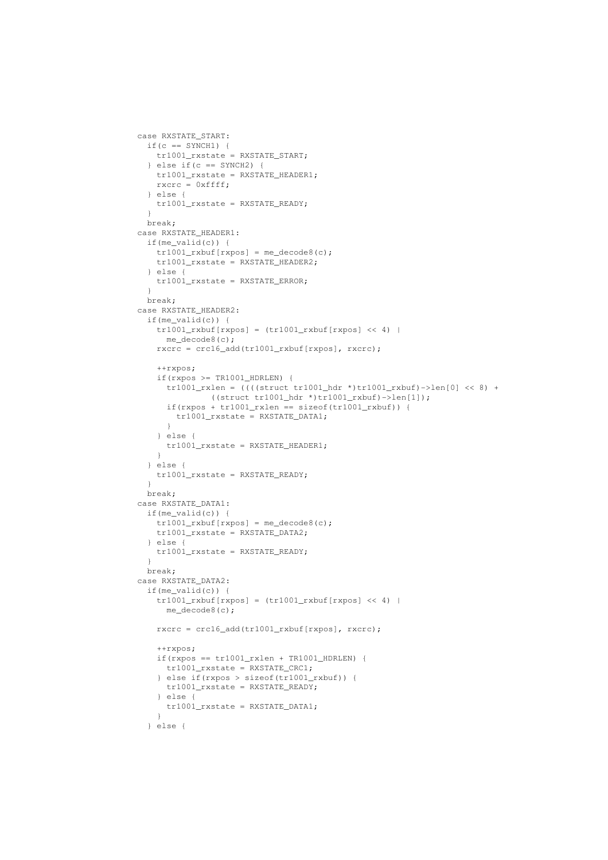```
case RXSTATE_START:
  if(c == SYNCH1) {
   tr1001_rxstate = RXSTATE_START;
  } else if(c == SYNCH2) {
    tr1001_rxstate = RXSTATE_HEADER1;
   rxcrc = 0xffff;
  } else {
   tr1001_rxstate = RXSTATE_READY;
  }
  break;
case RXSTATE_HEADER1:
  if(me_valid(c)) {
    tr1001_rxbuf[rxpos] = me_decode(0);tr1001_rxstate = RXSTATE_HEADER2;
  } else {
    tr1001_rxstate = RXSTATE_ERROR;
  \mathfrak{h}break;
case RXSTATE_HEADER2:
  if(me_valid(c)) {
    tr1001_rxbut[rxpos] = (tr1001_rxbuf[rxpos] << 4)me_decode8(c);
    rxcrc = crc16_add(tr1001_rxbuf[rxpos], rxcrc);
    ++rxpos;
    if(rxpos >= TR1001_HDRLEN) {
     tr1001 rxlen = (((\text{struct } \text{tr}1001 \text{ hdr } \star) \text{tr}1001 \text{ rxbuf}) - \text{len}[0] \ll 8) +((struct tr1001_hdr *)tr1001_rxbuf)->len[1]);
      if(rxpos + tr1001_rxlen == sizeof(tr1001_rxbuf)) {
       tr1001_rxstate = RXSTATE_DATA1;
      }
    } else {
     tr1001_rxstate = RXSTATE_HEADER1;
    }
  } else {
    tr1001_rxstate = RXSTATE_READY;
  }
  break;
case RXSTATE_DATA1:
  if(me_valid(c)) {
   tr1001_rxbuf[rxpos] = me_decode8(c);
    tr1001_rxstate = RXSTATE_DATA2;
  } else {
   tr1001_rxstate = RXSTATE_READY;
  }
  break;
case RXSTATE_DATA2:
  if(me_valid(c)) {
   tr1001_rrxbuf[rxpos] = (tr1001_rrxbuf[rxpos] << 4) |
      me_decode8(c);
    rxcrc = crc16_add(tr1001_rxbuf[rxpos], rxcrc);
    ++rxpos;
    if(rxpos == tr1001_rxlen + TR1001_HDRLEN) {
     tr1001_rxstate = RXSTATE_CRC1;
    } else if(rxpos > sizeof(tr1001_rxbuf)) {
      tr1001_rxstate = RXSTATE_READY;
    } else {
     tr1001_rxstate = RXSTATE_DATA1;
    }
  } else {
```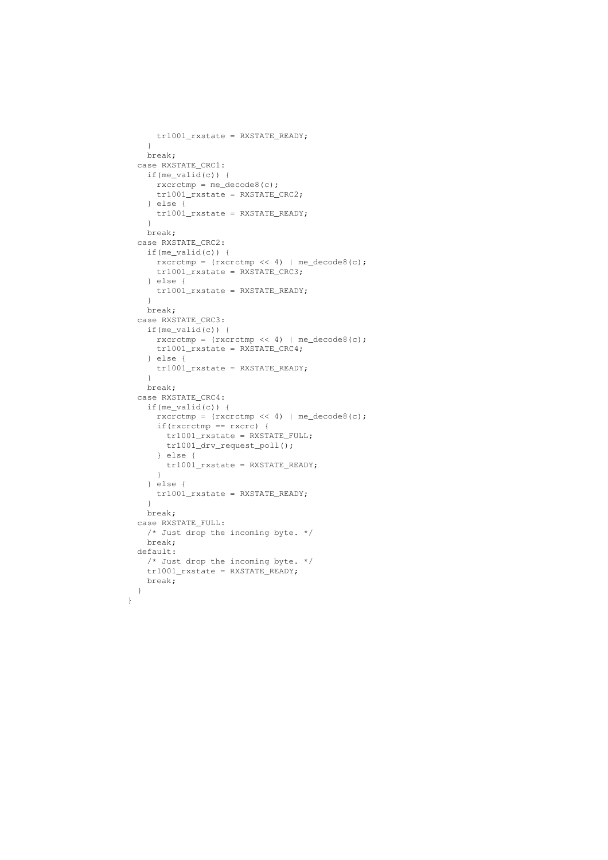```
tr1001_rxstate = RXSTATE_READY;
  }
  break;
case RXSTATE_CRC1:
  if(me_valid(c)) {
   r\textrm{xcrctmp} = \textrm{me\_decode8(c)};
    tr1001_rxstate = RXSTATE_CRC2;
  } else {
   tr1001_rxstate = RXSTATE_READY;
  }
  break;
case RXSTATE_CRC2:
 if(me_valid(c)) {
   rxcrctmp = (rxcrctmp \ll 4) | me_decode8(c);
   tr1001_rxstate = RXSTATE_CRC3;
  } else {
   tr1001_rxstate = RXSTATE_READY;
  }
 break;
case RXSTATE_CRC3:
 if(me_valid(c)) {
   rxcrctmp = (rxcrctmp << 4) | me_decode8(c);
    tr1001_rxstate = RXSTATE_CRC4;
  } else {
   tr1001_rxstate = RXSTATE_READY;
  }
  break;
case RXSTATE_CRC4:
  if(me_valid(c)) {
   rxcrctmp = (rxcrctmp << 4) | me_decode8(c);
   if(rxcrctmp == rxcrc) {
     tr1001_rxstate = RXSTATE_FULL;
     tr1001_drv_request_poll();
    } else {
     tr1001_rxstate = RXSTATE_READY;
   }
  } else {
   tr1001_rxstate = RXSTATE_READY;
  \lambdabreak;
case RXSTATE_FULL:
  /* Just drop the incoming byte. */
 break;
default:
 /* Just drop the incoming byte. */
 tr1001_rxstate = RXSTATE_READY;
 break;
}
```
}